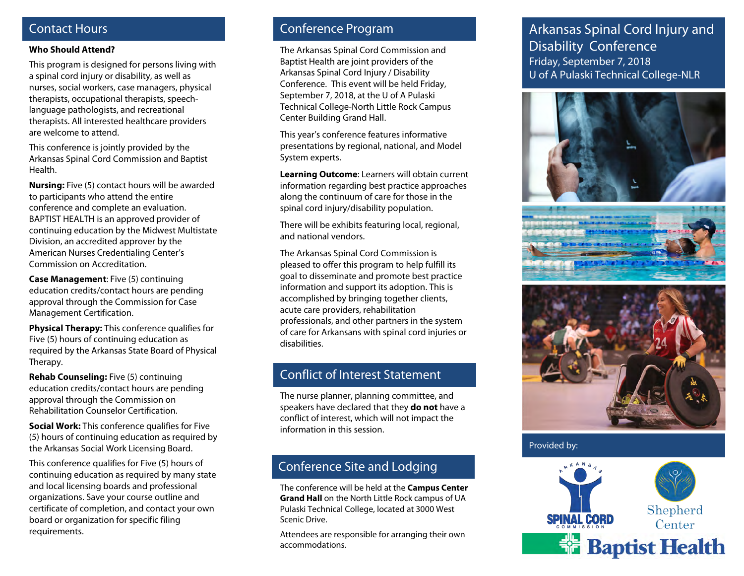### Contact Hours

#### **Who Should Attend?**

This program is designed for persons living with a spinal cord injury or disability, as well as nurses, social workers, case managers, physical therapists, occupational therapists, speechlanguage pathologists, and recreational therapists. All interested healthcare providers are welcome to attend.

This conference is jointly provided by the Arkansas Spinal Cord Commission and Baptist Health.

**Nursing:** Five (5) contact hours will be awarded to participants who attend the entire conference and complete an evaluation. BAPTIST HEALTH is an approved provider of continuing education by the Midwest Multistate Division, an accredited approver by the American Nurses Credentialing Center's Commission on Accreditation.

**Case Management**: Five (5) continuing education credits/contact hours are pending approval through the Commission for Case Management Certification.

**Physical Therapy:** This conference qualifies for Five (5) hours of continuing education as required by the Arkansas State Board of Physical Therapy.

**Rehab Counseling:** Five (5) continuing education credits/contact hours are pending approval through the Commission on Rehabilitation Counselor Certification.

**Social Work:** This conference qualifies for Five (5) hours of continuing education as required by the Arkansas Social Work Licensing Board.

This conference qualifies for Five (5) hours of continuing education as required by many state and local licensing boards and professional organizations. Save your course outline and certificate of completion, and contact your own board or organization for specific filing requirements.

## Conference Program

The Arkansas Spinal Cord Commission and Baptist Health are joint providers of the Arkansas Spinal Cord Injury / Disability Conference. This event will be held Friday, September 7, 2018, at the U of A Pulaski Technical College-North Little Rock Campus Center Building Grand Hall.

This year's conference features informative presentations by regional, national, and Model System experts.

**Learning Outcome**: Learners will obtain current information regarding best practice approaches along the continuum of care for those in the spinal cord injury/disability population.

There will be exhibits featuring local, regional, and national vendors.

The Arkansas Spinal Cord Commission is pleased to offer this program to help fulfill its goal to disseminate and promote best practice information and support its adoption. This is accomplished by bringing together clients, acute care providers, rehabilitation professionals, and other partners in the system of care for Arkansans with spinal cord injuries or disabilities.

### Conflict of Interest Statement

The nurse planner, planning committee, and speakers have declared that they **do not** have a conflict of interest, which will not impact the information in this session.

# Conference Site and Lodging

The conference will be held at the **Campus Center Grand Hall** on the North Little Rock campus of UA Pulaski Technical College, located at 3000 West Scenic Drive.

Attendees are responsible for arranging their own accommodations.

# Arkansas Spinal Cord Injury and Disability Conference Friday, September 7, 2018 U of A Pulaski Technical College-NLR